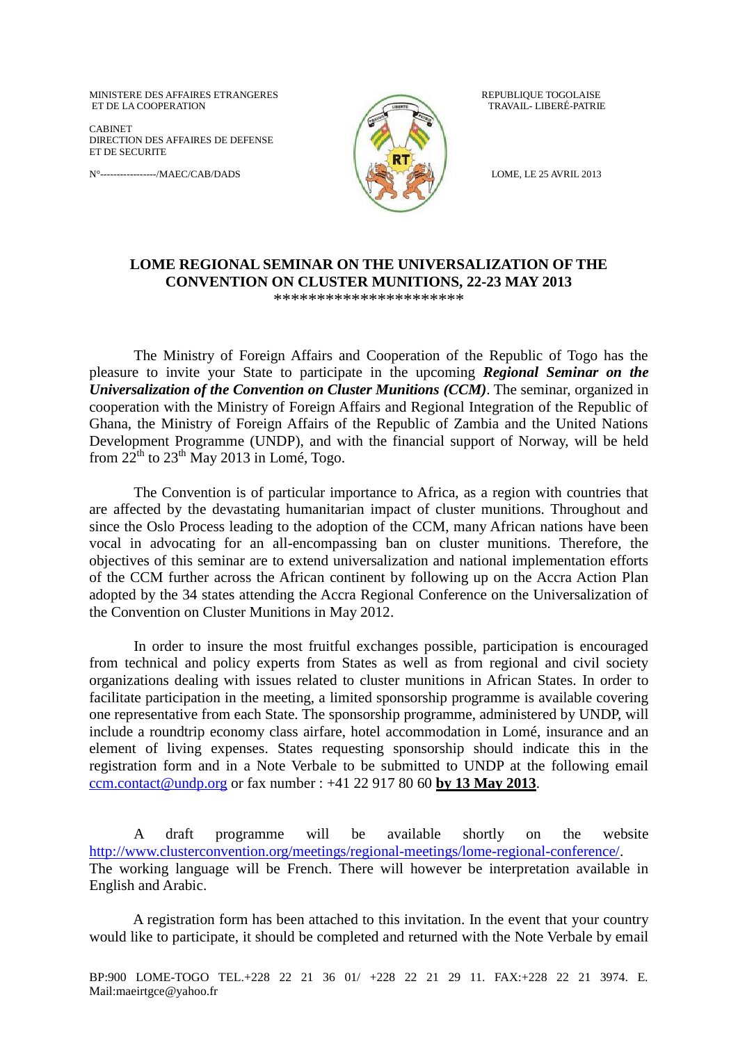MINISTERE DES AFFAIRES ETRANGERES REPUBLIQUE TOGOLAISE ET DE LA COOPERATION TRAVAIL- LIBERÉ-PATRIE

CABINET DIRECTION DES AFFAIRES DE DEFENSE ET DE SECURITE

N°-----------------/MAEC/CAB/DADS LOME, LE 25 AVRIL 2013



## **LOME REGIONAL SEMINAR ON THE UNIVERSALIZATION OF THE CONVENTION ON CLUSTER MUNITIONS, 22-23 MAY 2013** \*\*\*\*\*\*\*\*\*\*\*\*\*\*\*\*\*\*\*\*\*\*

The Ministry of Foreign Affairs and Cooperation of the Republic of Togo has the pleasure to invite your State to participate in the upcoming *Regional Seminar on the Universalization of the Convention on Cluster Munitions (CCM)*. The seminar, organized in cooperation with the Ministry of Foreign Affairs and Regional Integration of the Republic of Ghana, the Ministry of Foreign Affairs of the Republic of Zambia and the United Nations Development Programme (UNDP), and with the financial support of Norway, will be held from  $22^{th}$  to  $23^{th}$  May 2013 in Lomé, Togo.

The Convention is of particular importance to Africa, as a region with countries that are affected by the devastating humanitarian impact of cluster munitions. Throughout and since the Oslo Process leading to the adoption of the CCM, many African nations have been vocal in advocating for an all-encompassing ban on cluster munitions. Therefore, the objectives of this seminar are to extend universalization and national implementation efforts of the CCM further across the African continent by following up on the Accra Action Plan adopted by the 34 states attending the Accra Regional Conference on the Universalization of the Convention on Cluster Munitions in May 2012.

In order to insure the most fruitful exchanges possible, participation is encouraged from technical and policy experts from States as well as from regional and civil society organizations dealing with issues related to cluster munitions in African States. In order to facilitate participation in the meeting, a limited sponsorship programme is available covering one representative from each State. The sponsorship programme, administered by UNDP, will include a roundtrip economy class airfare, hotel accommodation in Lomé, insurance and an element of living expenses. States requesting sponsorship should indicate this in the registration form and in a Note Verbale to be submitted to UNDP at the following email [ccm.contact@undp.org](mailto:ccm.contact@undp.org) or fax number : +41 22 917 80 60 **by 13 May 2013**.

A draft programme will be available shortly on the website [http://www.clusterconvention.org/meetings/regional-meetings/lome-regional-conference/.](http://www.clusterconvention.org/meetings/regional-meetings/lome-regional-conference/) The working language will be French. There will however be interpretation available in English and Arabic.

A registration form has been attached to this invitation. In the event that your country would like to participate, it should be completed and returned with the Note Verbale by email